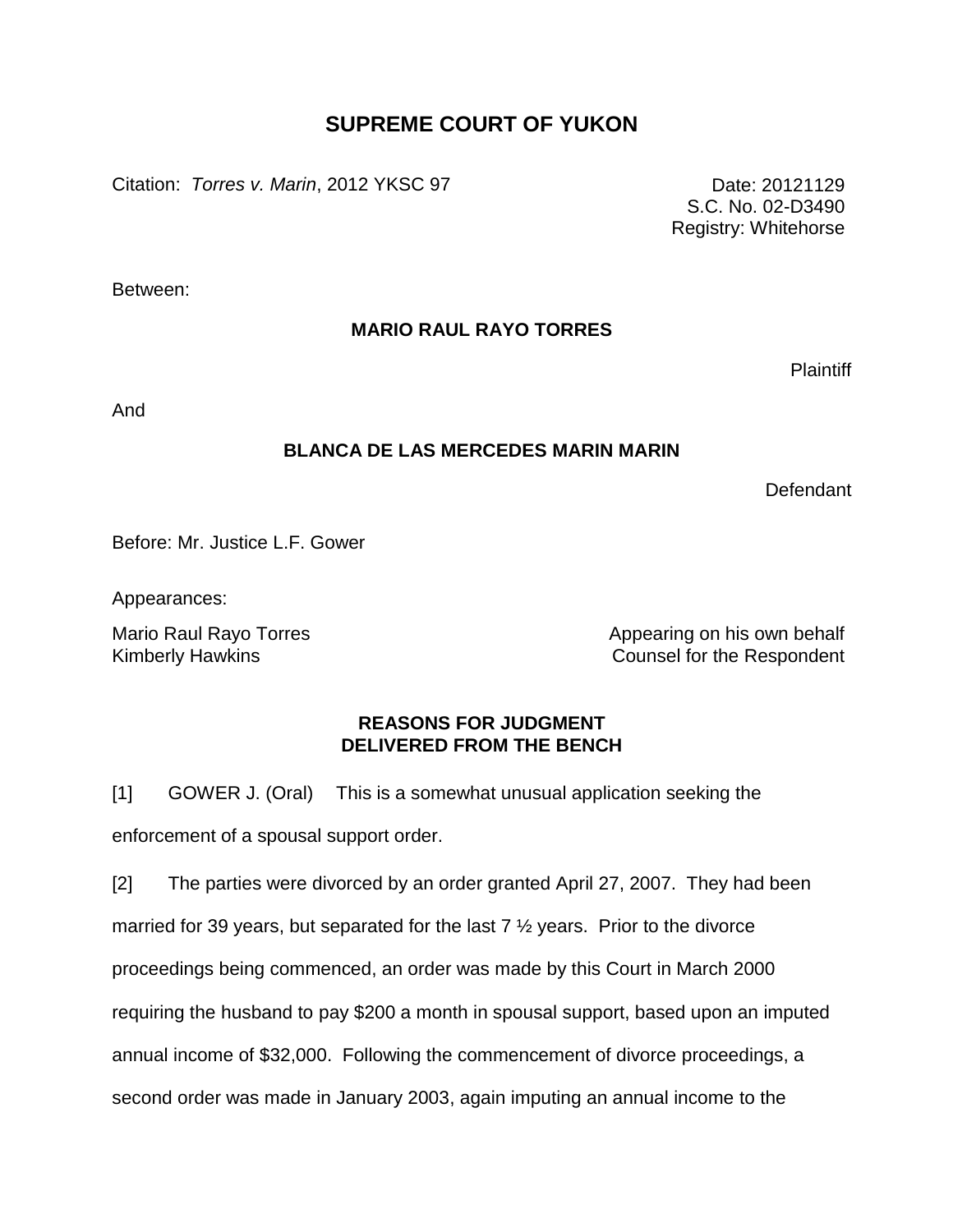# **SUPREME COURT OF YUKON**

Citation: *Torres v. Marin*, 2012 YKSC 97 **Date: 20121129** Date: 20121129

S.C. No. 02-D3490 Registry: Whitehorse

Between:

## **MARIO RAUL RAYO TORRES**

**Plaintiff** 

And

## **BLANCA DE LAS MERCEDES MARIN MARIN**

Defendant

Before: Mr. Justice L.F. Gower

Appearances:

Mario Raul Rayo Torres **All and Appearing on his own behalf** Appearing on his own behalf Kimberly Hawkins Counsel for the Respondent

#### **REASONS FOR JUDGMENT DELIVERED FROM THE BENCH**

[1] GOWER J. (Oral) This is a somewhat unusual application seeking the enforcement of a spousal support order.

[2] The parties were divorced by an order granted April 27, 2007. They had been married for 39 years, but separated for the last 7  $\frac{1}{2}$  years. Prior to the divorce proceedings being commenced, an order was made by this Court in March 2000 requiring the husband to pay \$200 a month in spousal support, based upon an imputed annual income of \$32,000. Following the commencement of divorce proceedings, a second order was made in January 2003, again imputing an annual income to the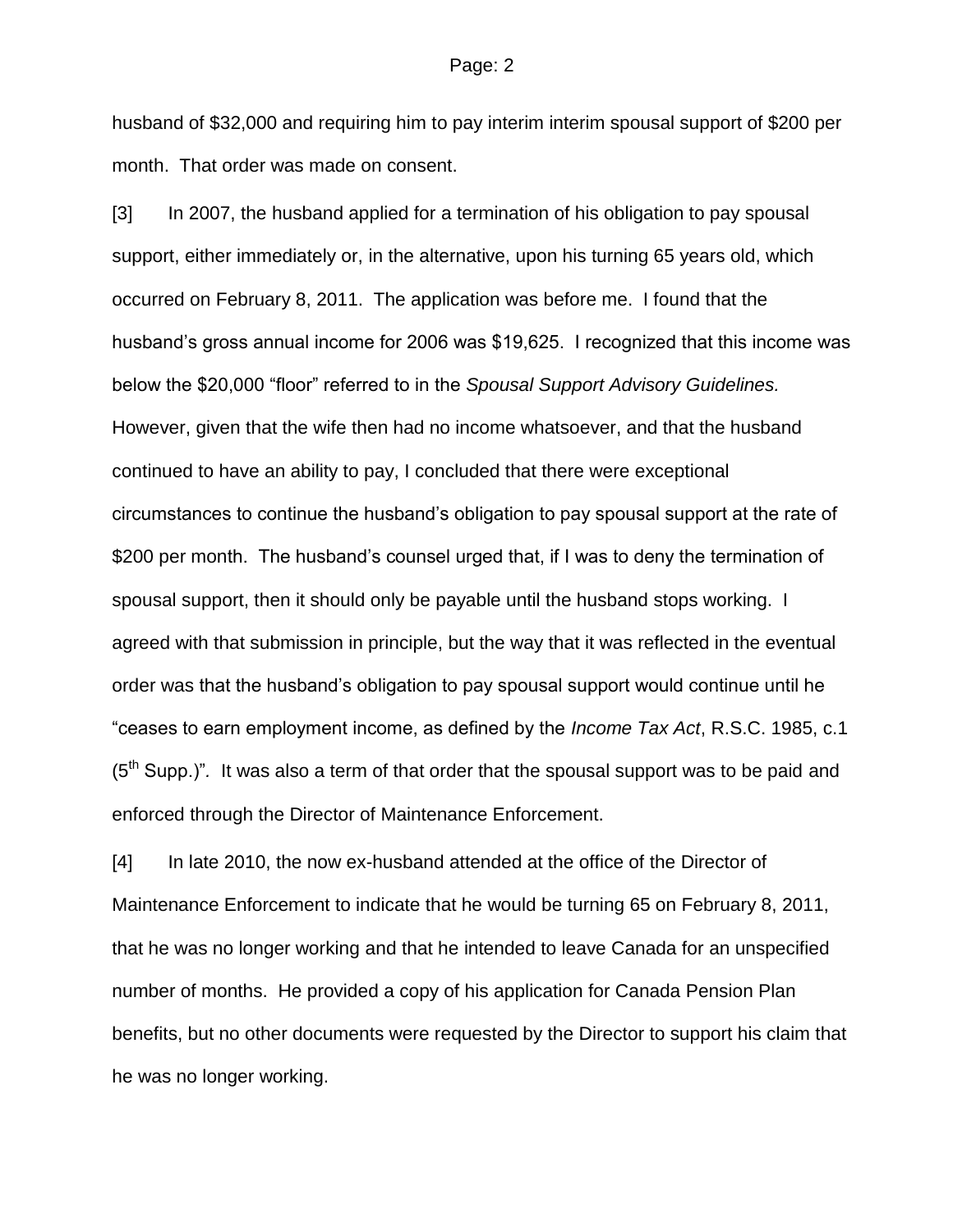husband of \$32,000 and requiring him to pay interim interim spousal support of \$200 per month. That order was made on consent.

[3] In 2007, the husband applied for a termination of his obligation to pay spousal support, either immediately or, in the alternative, upon his turning 65 years old, which occurred on February 8, 2011. The application was before me. I found that the husband's gross annual income for 2006 was \$19,625. I recognized that this income was below the \$20,000 "floor" referred to in the *Spousal Support Advisory Guidelines.* However, given that the wife then had no income whatsoever, and that the husband continued to have an ability to pay, I concluded that there were exceptional circumstances to continue the husband's obligation to pay spousal support at the rate of \$200 per month. The husband's counsel urged that, if I was to deny the termination of spousal support, then it should only be payable until the husband stops working. I agreed with that submission in principle, but the way that it was reflected in the eventual order was that the husband's obligation to pay spousal support would continue until he "ceases to earn employment income, as defined by the *Income Tax Act*, R.S.C. 1985, c.1 (5th Supp.)"*.* It was also a term of that order that the spousal support was to be paid and enforced through the Director of Maintenance Enforcement.

[4] In late 2010, the now ex-husband attended at the office of the Director of Maintenance Enforcement to indicate that he would be turning 65 on February 8, 2011, that he was no longer working and that he intended to leave Canada for an unspecified number of months. He provided a copy of his application for Canada Pension Plan benefits, but no other documents were requested by the Director to support his claim that he was no longer working.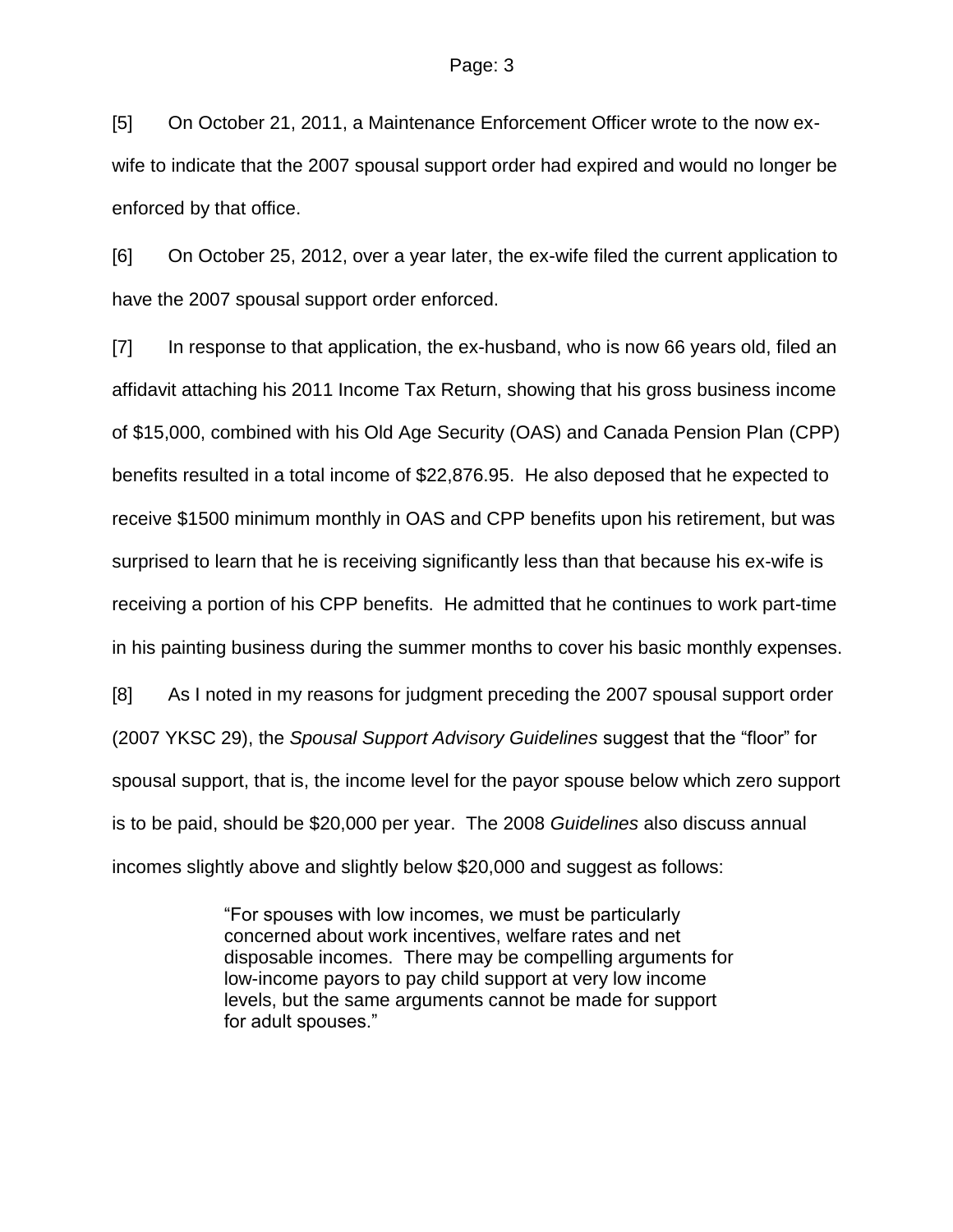[5] On October 21, 2011, a Maintenance Enforcement Officer wrote to the now exwife to indicate that the 2007 spousal support order had expired and would no longer be enforced by that office.

[6] On October 25, 2012, over a year later, the ex-wife filed the current application to have the 2007 spousal support order enforced.

[7] In response to that application, the ex-husband, who is now 66 years old, filed an affidavit attaching his 2011 Income Tax Return, showing that his gross business income of \$15,000, combined with his Old Age Security (OAS) and Canada Pension Plan (CPP) benefits resulted in a total income of \$22,876.95. He also deposed that he expected to receive \$1500 minimum monthly in OAS and CPP benefits upon his retirement, but was surprised to learn that he is receiving significantly less than that because his ex-wife is receiving a portion of his CPP benefits. He admitted that he continues to work part-time in his painting business during the summer months to cover his basic monthly expenses.

[8] As I noted in my reasons for judgment preceding the 2007 spousal support order (2007 YKSC 29), the *Spousal Support Advisory Guidelines* suggest that the "floor" for spousal support, that is, the income level for the payor spouse below which zero support is to be paid, should be \$20,000 per year. The 2008 *Guidelines* also discuss annual incomes slightly above and slightly below \$20,000 and suggest as follows:

> "For spouses with low incomes, we must be particularly concerned about work incentives, welfare rates and net disposable incomes. There may be compelling arguments for low-income payors to pay child support at very low income levels, but the same arguments cannot be made for support for adult spouses."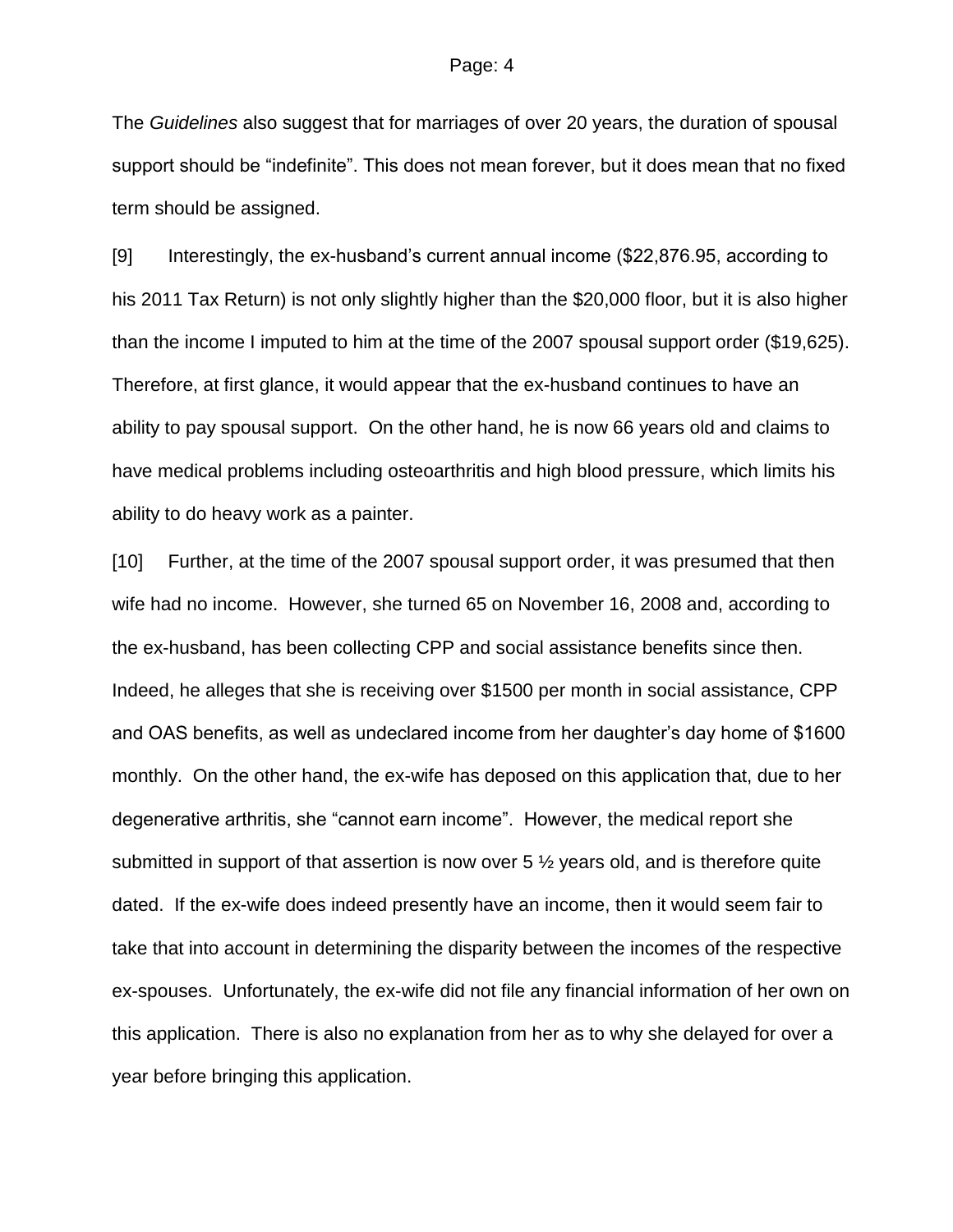The *Guidelines* also suggest that for marriages of over 20 years, the duration of spousal support should be "indefinite". This does not mean forever, but it does mean that no fixed term should be assigned.

[9] Interestingly, the ex-husband's current annual income (\$22,876.95, according to his 2011 Tax Return) is not only slightly higher than the \$20,000 floor, but it is also higher than the income I imputed to him at the time of the 2007 spousal support order (\$19,625). Therefore, at first glance, it would appear that the ex-husband continues to have an ability to pay spousal support. On the other hand, he is now 66 years old and claims to have medical problems including osteoarthritis and high blood pressure, which limits his ability to do heavy work as a painter.

[10] Further, at the time of the 2007 spousal support order, it was presumed that then wife had no income. However, she turned 65 on November 16, 2008 and, according to the ex-husband, has been collecting CPP and social assistance benefits since then. Indeed, he alleges that she is receiving over \$1500 per month in social assistance, CPP and OAS benefits, as well as undeclared income from her daughter's day home of \$1600 monthly. On the other hand, the ex-wife has deposed on this application that, due to her degenerative arthritis, she "cannot earn income". However, the medical report she submitted in support of that assertion is now over 5  $\frac{1}{2}$  years old, and is therefore quite dated. If the ex-wife does indeed presently have an income, then it would seem fair to take that into account in determining the disparity between the incomes of the respective ex-spouses. Unfortunately, the ex-wife did not file any financial information of her own on this application. There is also no explanation from her as to why she delayed for over a year before bringing this application.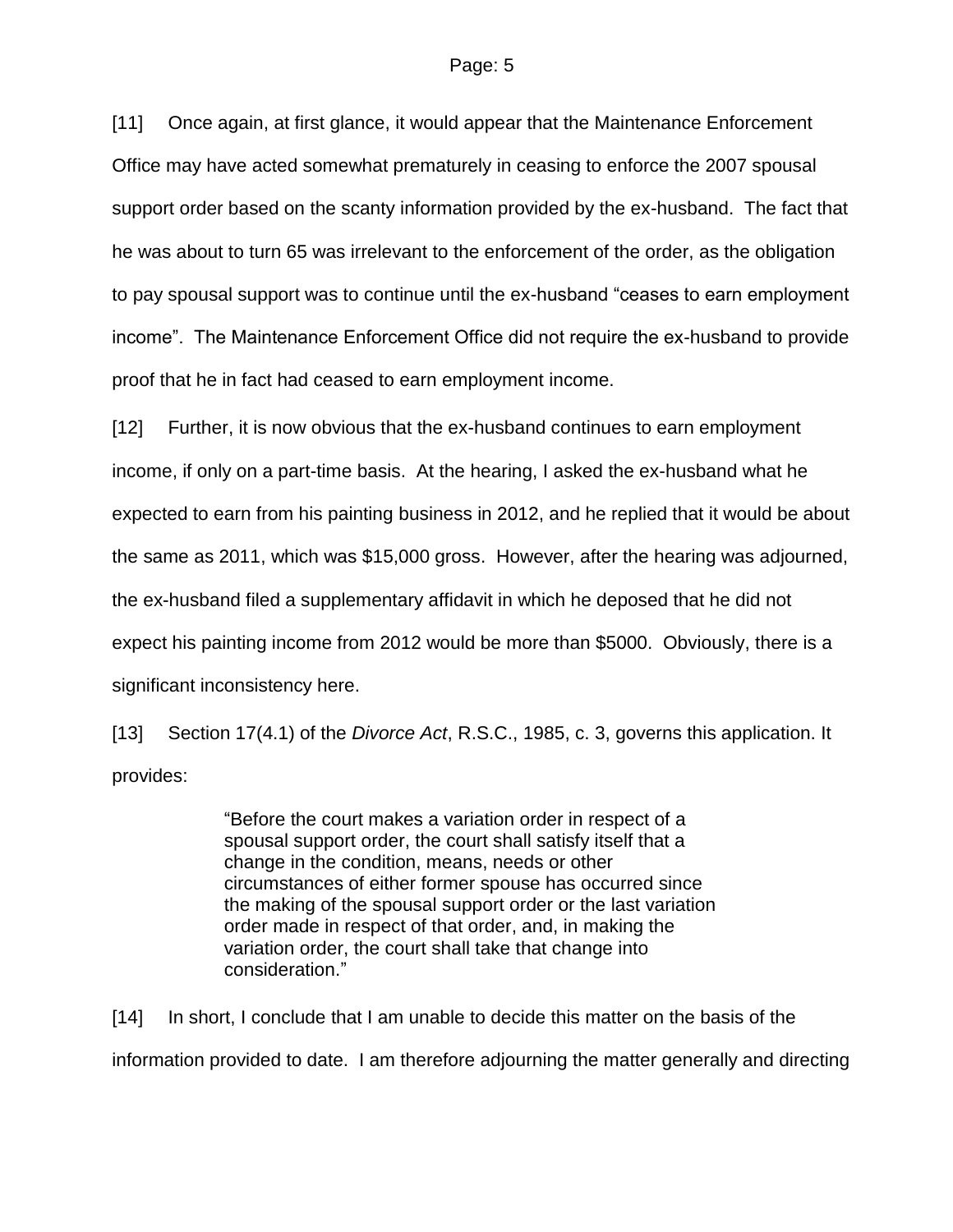#### Page: 5

[11] Once again, at first glance, it would appear that the Maintenance Enforcement Office may have acted somewhat prematurely in ceasing to enforce the 2007 spousal support order based on the scanty information provided by the ex-husband. The fact that he was about to turn 65 was irrelevant to the enforcement of the order, as the obligation to pay spousal support was to continue until the ex-husband "ceases to earn employment income". The Maintenance Enforcement Office did not require the ex-husband to provide proof that he in fact had ceased to earn employment income.

[12] Further, it is now obvious that the ex-husband continues to earn employment income, if only on a part-time basis. At the hearing, I asked the ex-husband what he expected to earn from his painting business in 2012, and he replied that it would be about the same as 2011, which was \$15,000 gross. However, after the hearing was adjourned, the ex-husband filed a supplementary affidavit in which he deposed that he did not expect his painting income from 2012 would be more than \$5000. Obviously, there is a significant inconsistency here.

[13] Section 17(4.1) of the *Divorce Act*, R.S.C., 1985, c. 3, governs this application. It provides:

> "Before the court makes a variation order in respect of a spousal support order, the court shall satisfy itself that a change in the condition, means, needs or other circumstances of either former spouse has occurred since the making of the spousal support order or the last variation order made in respect of that order, and, in making the variation order, the court shall take that change into consideration."

[14] In short, I conclude that I am unable to decide this matter on the basis of the information provided to date. I am therefore adjourning the matter generally and directing